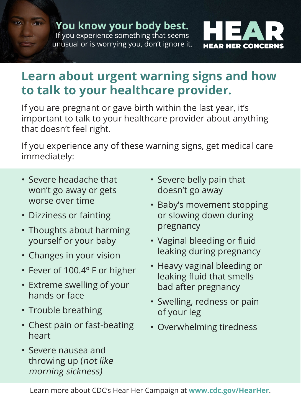

## **Learn about urgent warning signs and how to talk to your healthcare provider.**

If you are pregnant or gave birth within the last year, it's important to talk to your healthcare provider about anything that doesn't feel right.

If you experience any of these warning signs, get medical care immediately:

- Severe headache that won't go away or gets worse over time
- Dizziness or fainting
- Thoughts about harming yourself or your baby
- Changes in your vision
- Fever of 100.4º F or higher
- Extreme swelling of your hands or face
- Trouble breathing
- Chest pain or fast-beating heart
- Severe nausea and throwing up (not like morning sickness)
- Severe belly pain that doesn't go away
- Baby's movement stopping or slowing down during pregnancy
- Vaginal bleeding or fluid leaking during pregnancy
- Heavy vaginal bleeding or leaking fluid that smells bad after pregnancy
- Swelling, redness or pain of your leg
- Overwhelming tiredness

Learn more about CDC's Hear Her Campaign at **www.cdc.gov/HearHer**.